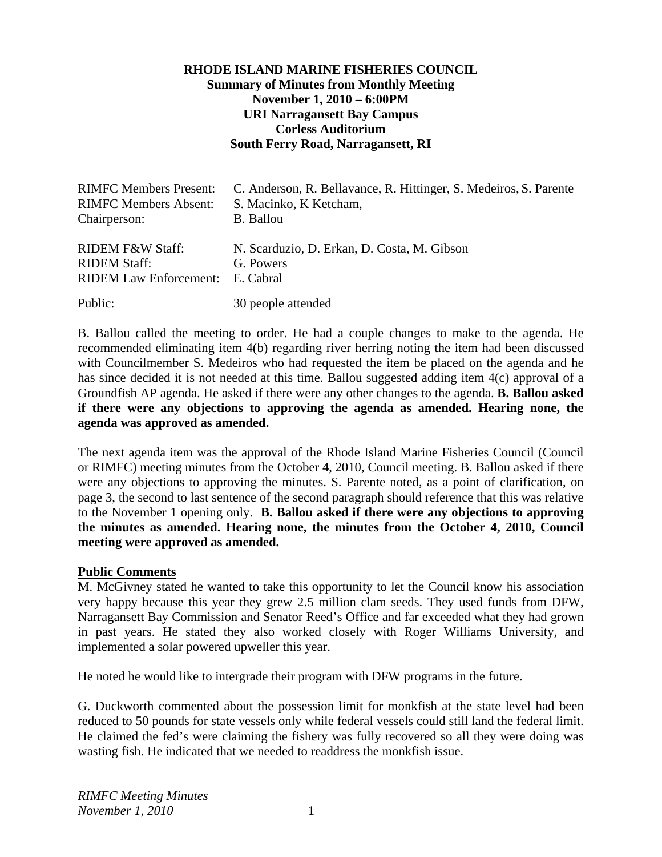### **RHODE ISLAND MARINE FISHERIES COUNCIL Summary of Minutes from Monthly Meeting November 1, 2010 – 6:00PM URI Narragansett Bay Campus Corless Auditorium South Ferry Road, Narragansett, RI**

| <b>RIMFC Members Present:</b> | C. Anderson, R. Bellavance, R. Hittinger, S. Medeiros, S. Parente |
|-------------------------------|-------------------------------------------------------------------|
| <b>RIMFC Members Absent:</b>  | S. Macinko, K Ketcham,                                            |
| Chairperson:                  | <b>B.</b> Ballou                                                  |
| RIDEM F&W Staff:              | N. Scarduzio, D. Erkan, D. Costa, M. Gibson                       |
| <b>RIDEM Staff:</b>           | G. Powers                                                         |
| <b>RIDEM Law Enforcement:</b> | E. Cabral                                                         |
| Public:                       | 30 people attended                                                |

B. Ballou called the meeting to order. He had a couple changes to make to the agenda. He recommended eliminating item 4(b) regarding river herring noting the item had been discussed with Councilmember S. Medeiros who had requested the item be placed on the agenda and he has since decided it is not needed at this time. Ballou suggested adding item 4(c) approval of a Groundfish AP agenda. He asked if there were any other changes to the agenda. **B. Ballou asked if there were any objections to approving the agenda as amended. Hearing none, the agenda was approved as amended.** 

The next agenda item was the approval of the Rhode Island Marine Fisheries Council (Council or RIMFC) meeting minutes from the October 4, 2010, Council meeting. B. Ballou asked if there were any objections to approving the minutes. S. Parente noted, as a point of clarification, on page 3, the second to last sentence of the second paragraph should reference that this was relative to the November 1 opening only. **B. Ballou asked if there were any objections to approving the minutes as amended. Hearing none, the minutes from the October 4, 2010, Council meeting were approved as amended.** 

#### **Public Comments**

M. McGivney stated he wanted to take this opportunity to let the Council know his association very happy because this year they grew 2.5 million clam seeds. They used funds from DFW, Narragansett Bay Commission and Senator Reed's Office and far exceeded what they had grown in past years. He stated they also worked closely with Roger Williams University, and implemented a solar powered upweller this year.

He noted he would like to intergrade their program with DFW programs in the future.

G. Duckworth commented about the possession limit for monkfish at the state level had been reduced to 50 pounds for state vessels only while federal vessels could still land the federal limit. He claimed the fed's were claiming the fishery was fully recovered so all they were doing was wasting fish. He indicated that we needed to readdress the monkfish issue.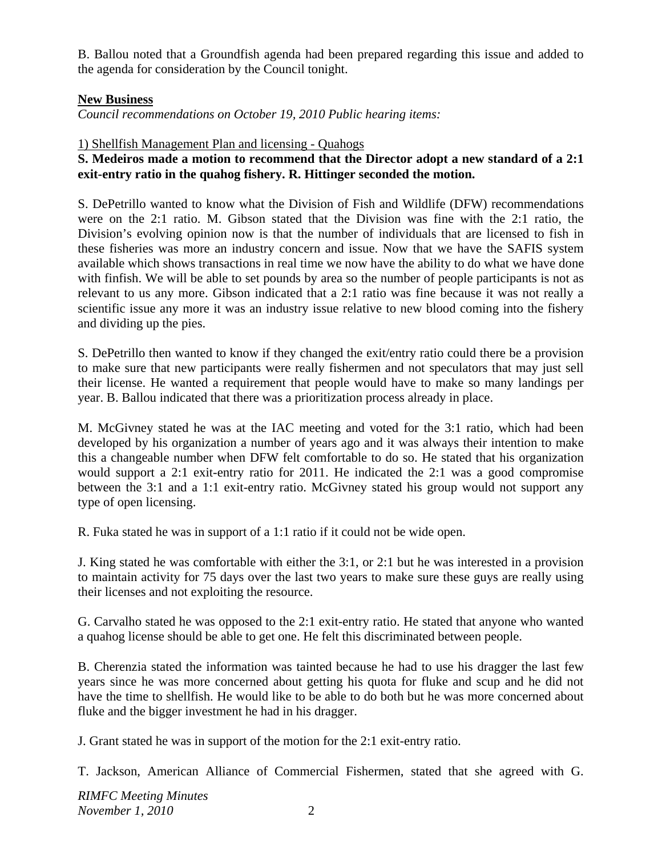B. Ballou noted that a Groundfish agenda had been prepared regarding this issue and added to the agenda for consideration by the Council tonight.

### **New Business**

*Council recommendations on October 19, 2010 Public hearing items:* 

### 1) Shellfish Management Plan and licensing - Quahogs

## **S. Medeiros made a motion to recommend that the Director adopt a new standard of a 2:1 exit-entry ratio in the quahog fishery. R. Hittinger seconded the motion.**

S. DePetrillo wanted to know what the Division of Fish and Wildlife (DFW) recommendations were on the 2:1 ratio. M. Gibson stated that the Division was fine with the 2:1 ratio, the Division's evolving opinion now is that the number of individuals that are licensed to fish in these fisheries was more an industry concern and issue. Now that we have the SAFIS system available which shows transactions in real time we now have the ability to do what we have done with finfish. We will be able to set pounds by area so the number of people participants is not as relevant to us any more. Gibson indicated that a 2:1 ratio was fine because it was not really a scientific issue any more it was an industry issue relative to new blood coming into the fishery and dividing up the pies.

S. DePetrillo then wanted to know if they changed the exit/entry ratio could there be a provision to make sure that new participants were really fishermen and not speculators that may just sell their license. He wanted a requirement that people would have to make so many landings per year. B. Ballou indicated that there was a prioritization process already in place.

M. McGivney stated he was at the IAC meeting and voted for the 3:1 ratio, which had been developed by his organization a number of years ago and it was always their intention to make this a changeable number when DFW felt comfortable to do so. He stated that his organization would support a 2:1 exit-entry ratio for 2011. He indicated the 2:1 was a good compromise between the 3:1 and a 1:1 exit-entry ratio. McGivney stated his group would not support any type of open licensing.

R. Fuka stated he was in support of a 1:1 ratio if it could not be wide open.

J. King stated he was comfortable with either the 3:1, or 2:1 but he was interested in a provision to maintain activity for 75 days over the last two years to make sure these guys are really using their licenses and not exploiting the resource.

G. Carvalho stated he was opposed to the 2:1 exit-entry ratio. He stated that anyone who wanted a quahog license should be able to get one. He felt this discriminated between people.

B. Cherenzia stated the information was tainted because he had to use his dragger the last few years since he was more concerned about getting his quota for fluke and scup and he did not have the time to shellfish. He would like to be able to do both but he was more concerned about fluke and the bigger investment he had in his dragger.

J. Grant stated he was in support of the motion for the 2:1 exit-entry ratio.

T. Jackson, American Alliance of Commercial Fishermen, stated that she agreed with G.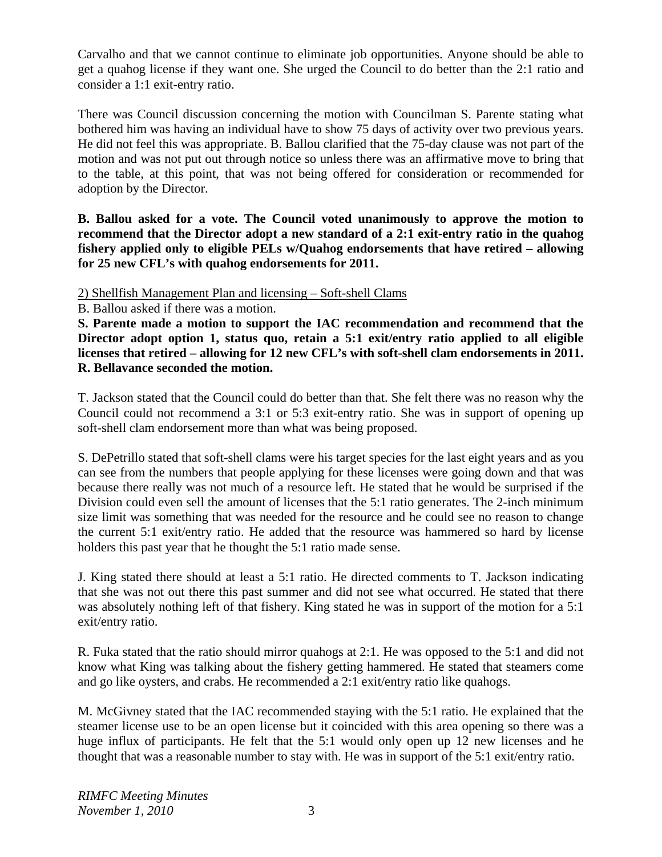Carvalho and that we cannot continue to eliminate job opportunities. Anyone should be able to get a quahog license if they want one. She urged the Council to do better than the 2:1 ratio and consider a 1:1 exit-entry ratio.

There was Council discussion concerning the motion with Councilman S. Parente stating what bothered him was having an individual have to show 75 days of activity over two previous years. He did not feel this was appropriate. B. Ballou clarified that the 75-day clause was not part of the motion and was not put out through notice so unless there was an affirmative move to bring that to the table, at this point, that was not being offered for consideration or recommended for adoption by the Director.

**B. Ballou asked for a vote. The Council voted unanimously to approve the motion to recommend that the Director adopt a new standard of a 2:1 exit-entry ratio in the quahog fishery applied only to eligible PELs w/Quahog endorsements that have retired – allowing for 25 new CFL's with quahog endorsements for 2011.** 

2) Shellfish Management Plan and licensing – Soft-shell Clams

B. Ballou asked if there was a motion.

**S. Parente made a motion to support the IAC recommendation and recommend that the Director adopt option 1, status quo, retain a 5:1 exit/entry ratio applied to all eligible licenses that retired – allowing for 12 new CFL's with soft-shell clam endorsements in 2011. R. Bellavance seconded the motion.** 

T. Jackson stated that the Council could do better than that. She felt there was no reason why the Council could not recommend a 3:1 or 5:3 exit-entry ratio. She was in support of opening up soft-shell clam endorsement more than what was being proposed.

S. DePetrillo stated that soft-shell clams were his target species for the last eight years and as you can see from the numbers that people applying for these licenses were going down and that was because there really was not much of a resource left. He stated that he would be surprised if the Division could even sell the amount of licenses that the 5:1 ratio generates. The 2-inch minimum size limit was something that was needed for the resource and he could see no reason to change the current 5:1 exit/entry ratio. He added that the resource was hammered so hard by license holders this past year that he thought the 5:1 ratio made sense.

J. King stated there should at least a 5:1 ratio. He directed comments to T. Jackson indicating that she was not out there this past summer and did not see what occurred. He stated that there was absolutely nothing left of that fishery. King stated he was in support of the motion for a 5:1 exit/entry ratio.

R. Fuka stated that the ratio should mirror quahogs at 2:1. He was opposed to the 5:1 and did not know what King was talking about the fishery getting hammered. He stated that steamers come and go like oysters, and crabs. He recommended a 2:1 exit/entry ratio like quahogs.

M. McGivney stated that the IAC recommended staying with the 5:1 ratio. He explained that the steamer license use to be an open license but it coincided with this area opening so there was a huge influx of participants. He felt that the 5:1 would only open up 12 new licenses and he thought that was a reasonable number to stay with. He was in support of the 5:1 exit/entry ratio.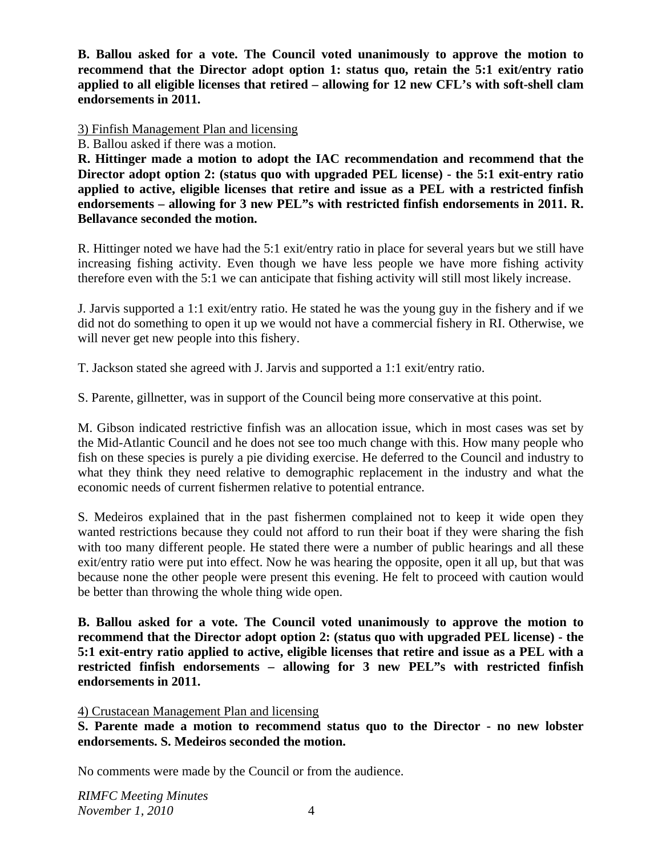**B. Ballou asked for a vote. The Council voted unanimously to approve the motion to recommend that the Director adopt option 1: status quo, retain the 5:1 exit/entry ratio applied to all eligible licenses that retired – allowing for 12 new CFL's with soft-shell clam endorsements in 2011.**

3) Finfish Management Plan and licensing

B. Ballou asked if there was a motion.

**R. Hittinger made a motion to adopt the IAC recommendation and recommend that the Director adopt option 2: (status quo with upgraded PEL license) - the 5:1 exit-entry ratio applied to active, eligible licenses that retire and issue as a PEL with a restricted finfish endorsements – allowing for 3 new PEL"s with restricted finfish endorsements in 2011. R. Bellavance seconded the motion.** 

R. Hittinger noted we have had the 5:1 exit/entry ratio in place for several years but we still have increasing fishing activity. Even though we have less people we have more fishing activity therefore even with the 5:1 we can anticipate that fishing activity will still most likely increase.

J. Jarvis supported a 1:1 exit/entry ratio. He stated he was the young guy in the fishery and if we did not do something to open it up we would not have a commercial fishery in RI. Otherwise, we will never get new people into this fishery.

T. Jackson stated she agreed with J. Jarvis and supported a 1:1 exit/entry ratio.

S. Parente, gillnetter, was in support of the Council being more conservative at this point.

M. Gibson indicated restrictive finfish was an allocation issue, which in most cases was set by the Mid-Atlantic Council and he does not see too much change with this. How many people who fish on these species is purely a pie dividing exercise. He deferred to the Council and industry to what they think they need relative to demographic replacement in the industry and what the economic needs of current fishermen relative to potential entrance.

S. Medeiros explained that in the past fishermen complained not to keep it wide open they wanted restrictions because they could not afford to run their boat if they were sharing the fish with too many different people. He stated there were a number of public hearings and all these exit/entry ratio were put into effect. Now he was hearing the opposite, open it all up, but that was because none the other people were present this evening. He felt to proceed with caution would be better than throwing the whole thing wide open.

**B. Ballou asked for a vote. The Council voted unanimously to approve the motion to recommend that the Director adopt option 2: (status quo with upgraded PEL license) - the 5:1 exit-entry ratio applied to active, eligible licenses that retire and issue as a PEL with a restricted finfish endorsements – allowing for 3 new PEL"s with restricted finfish endorsements in 2011.**

4) Crustacean Management Plan and licensing

**S. Parente made a motion to recommend status quo to the Director - no new lobster endorsements. S. Medeiros seconded the motion.** 

No comments were made by the Council or from the audience.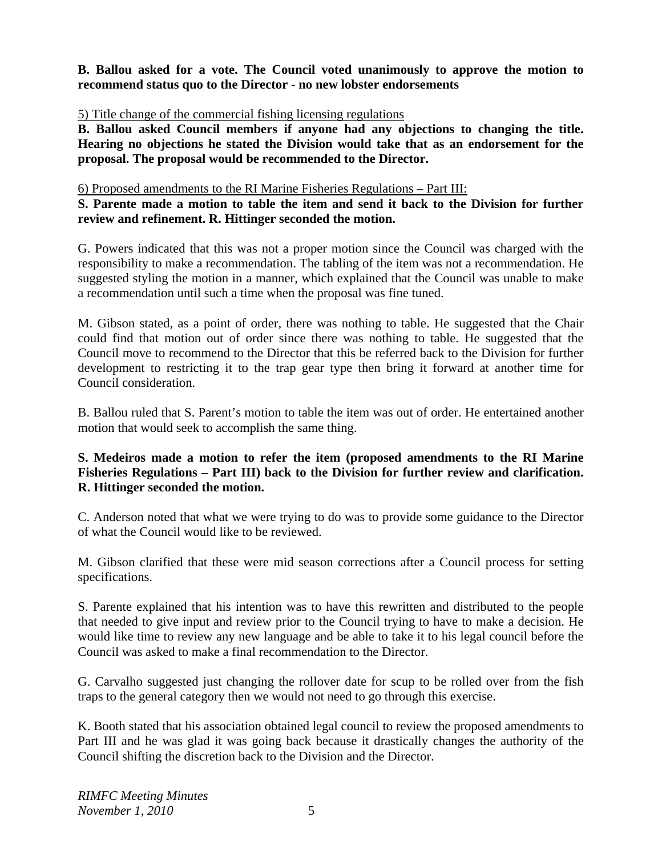**B. Ballou asked for a vote. The Council voted unanimously to approve the motion to recommend status quo to the Director - no new lobster endorsements**

5) Title change of the commercial fishing licensing regulations

**B. Ballou asked Council members if anyone had any objections to changing the title. Hearing no objections he stated the Division would take that as an endorsement for the proposal. The proposal would be recommended to the Director.**

6) Proposed amendments to the RI Marine Fisheries Regulations – Part III:

## **S. Parente made a motion to table the item and send it back to the Division for further review and refinement. R. Hittinger seconded the motion.**

G. Powers indicated that this was not a proper motion since the Council was charged with the responsibility to make a recommendation. The tabling of the item was not a recommendation. He suggested styling the motion in a manner, which explained that the Council was unable to make a recommendation until such a time when the proposal was fine tuned.

M. Gibson stated, as a point of order, there was nothing to table. He suggested that the Chair could find that motion out of order since there was nothing to table. He suggested that the Council move to recommend to the Director that this be referred back to the Division for further development to restricting it to the trap gear type then bring it forward at another time for Council consideration.

B. Ballou ruled that S. Parent's motion to table the item was out of order. He entertained another motion that would seek to accomplish the same thing.

## **S. Medeiros made a motion to refer the item (proposed amendments to the RI Marine Fisheries Regulations – Part III) back to the Division for further review and clarification. R. Hittinger seconded the motion.**

C. Anderson noted that what we were trying to do was to provide some guidance to the Director of what the Council would like to be reviewed.

M. Gibson clarified that these were mid season corrections after a Council process for setting specifications.

S. Parente explained that his intention was to have this rewritten and distributed to the people that needed to give input and review prior to the Council trying to have to make a decision. He would like time to review any new language and be able to take it to his legal council before the Council was asked to make a final recommendation to the Director.

G. Carvalho suggested just changing the rollover date for scup to be rolled over from the fish traps to the general category then we would not need to go through this exercise.

K. Booth stated that his association obtained legal council to review the proposed amendments to Part III and he was glad it was going back because it drastically changes the authority of the Council shifting the discretion back to the Division and the Director.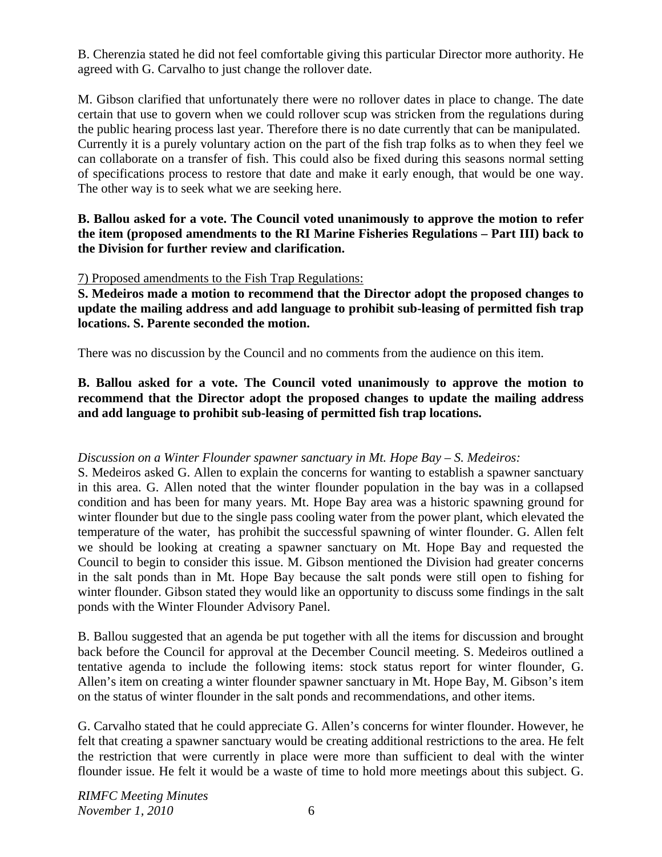B. Cherenzia stated he did not feel comfortable giving this particular Director more authority. He agreed with G. Carvalho to just change the rollover date.

M. Gibson clarified that unfortunately there were no rollover dates in place to change. The date certain that use to govern when we could rollover scup was stricken from the regulations during the public hearing process last year. Therefore there is no date currently that can be manipulated. Currently it is a purely voluntary action on the part of the fish trap folks as to when they feel we can collaborate on a transfer of fish. This could also be fixed during this seasons normal setting of specifications process to restore that date and make it early enough, that would be one way. The other way is to seek what we are seeking here.

**B. Ballou asked for a vote. The Council voted unanimously to approve the motion to refer the item (proposed amendments to the RI Marine Fisheries Regulations – Part III) back to the Division for further review and clarification.**

### 7) Proposed amendments to the Fish Trap Regulations:

**S. Medeiros made a motion to recommend that the Director adopt the proposed changes to update the mailing address and add language to prohibit sub-leasing of permitted fish trap locations. S. Parente seconded the motion.**

There was no discussion by the Council and no comments from the audience on this item.

# **B. Ballou asked for a vote. The Council voted unanimously to approve the motion to recommend that the Director adopt the proposed changes to update the mailing address and add language to prohibit sub-leasing of permitted fish trap locations.**

# *Discussion on a Winter Flounder spawner sanctuary in Mt. Hope Bay – S. Medeiros:*

S. Medeiros asked G. Allen to explain the concerns for wanting to establish a spawner sanctuary in this area. G. Allen noted that the winter flounder population in the bay was in a collapsed condition and has been for many years. Mt. Hope Bay area was a historic spawning ground for winter flounder but due to the single pass cooling water from the power plant, which elevated the temperature of the water, has prohibit the successful spawning of winter flounder. G. Allen felt we should be looking at creating a spawner sanctuary on Mt. Hope Bay and requested the Council to begin to consider this issue. M. Gibson mentioned the Division had greater concerns in the salt ponds than in Mt. Hope Bay because the salt ponds were still open to fishing for winter flounder. Gibson stated they would like an opportunity to discuss some findings in the salt ponds with the Winter Flounder Advisory Panel.

B. Ballou suggested that an agenda be put together with all the items for discussion and brought back before the Council for approval at the December Council meeting. S. Medeiros outlined a tentative agenda to include the following items: stock status report for winter flounder, G. Allen's item on creating a winter flounder spawner sanctuary in Mt. Hope Bay, M. Gibson's item on the status of winter flounder in the salt ponds and recommendations, and other items.

G. Carvalho stated that he could appreciate G. Allen's concerns for winter flounder. However, he felt that creating a spawner sanctuary would be creating additional restrictions to the area. He felt the restriction that were currently in place were more than sufficient to deal with the winter flounder issue. He felt it would be a waste of time to hold more meetings about this subject. G.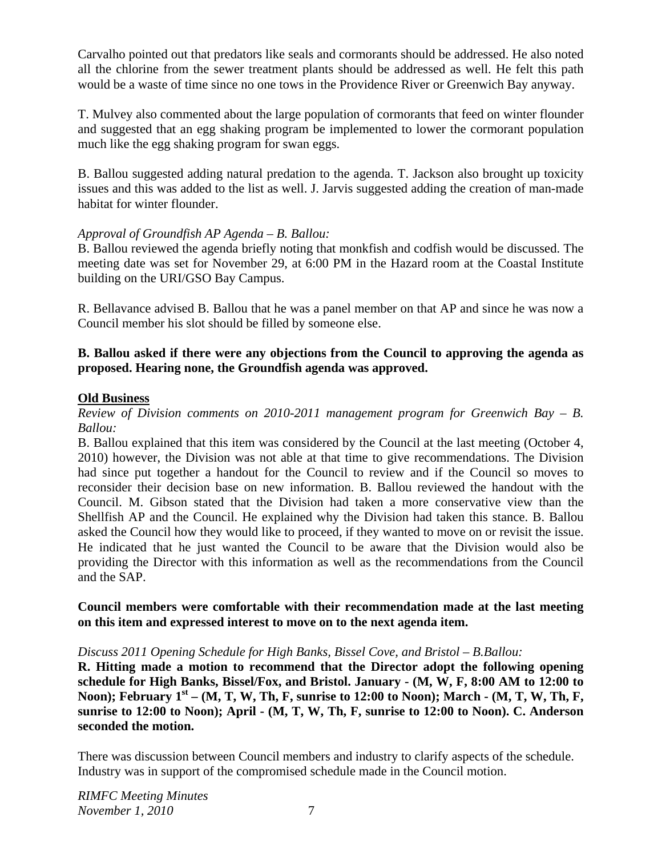Carvalho pointed out that predators like seals and cormorants should be addressed. He also noted all the chlorine from the sewer treatment plants should be addressed as well. He felt this path would be a waste of time since no one tows in the Providence River or Greenwich Bay anyway.

T. Mulvey also commented about the large population of cormorants that feed on winter flounder and suggested that an egg shaking program be implemented to lower the cormorant population much like the egg shaking program for swan eggs.

B. Ballou suggested adding natural predation to the agenda. T. Jackson also brought up toxicity issues and this was added to the list as well. J. Jarvis suggested adding the creation of man-made habitat for winter flounder.

### *Approval of Groundfish AP Agenda – B. Ballou:*

B. Ballou reviewed the agenda briefly noting that monkfish and codfish would be discussed. The meeting date was set for November 29, at 6:00 PM in the Hazard room at the Coastal Institute building on the URI/GSO Bay Campus.

R. Bellavance advised B. Ballou that he was a panel member on that AP and since he was now a Council member his slot should be filled by someone else.

### **B. Ballou asked if there were any objections from the Council to approving the agenda as proposed. Hearing none, the Groundfish agenda was approved.**

### **Old Business**

*Review of Division comments on 2010-2011 management program for Greenwich Bay – B. Ballou:*

B. Ballou explained that this item was considered by the Council at the last meeting (October 4, 2010) however, the Division was not able at that time to give recommendations. The Division had since put together a handout for the Council to review and if the Council so moves to reconsider their decision base on new information. B. Ballou reviewed the handout with the Council. M. Gibson stated that the Division had taken a more conservative view than the Shellfish AP and the Council. He explained why the Division had taken this stance. B. Ballou asked the Council how they would like to proceed, if they wanted to move on or revisit the issue. He indicated that he just wanted the Council to be aware that the Division would also be providing the Director with this information as well as the recommendations from the Council and the SAP.

### **Council members were comfortable with their recommendation made at the last meeting on this item and expressed interest to move on to the next agenda item.**

#### *Discuss 2011 Opening Schedule for High Banks, Bissel Cove, and Bristol – B.Ballou:*

**R. Hitting made a motion to recommend that the Director adopt the following opening schedule for High Banks, Bissel/Fox, and Bristol. January - (M, W, F, 8:00 AM to 12:00 to**  Noon); February 1<sup>st</sup> – (M, T, W, Th, F, sunrise to 12:00 to Noon); March - (M, T, W, Th, F, **sunrise to 12:00 to Noon); April - (M, T, W, Th, F, sunrise to 12:00 to Noon). C. Anderson seconded the motion.** 

There was discussion between Council members and industry to clarify aspects of the schedule. Industry was in support of the compromised schedule made in the Council motion.